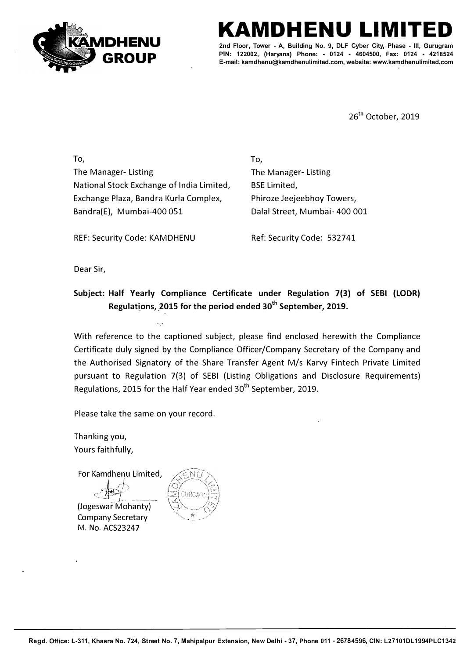

## **KAMDHENU LIMITED**

2nd Floor, Tower - A, Building No. 9, DLF Cyber City, Phase - III, **PIN: 122002, (Haryana) Phone: - 0124 - 4604500, Fax: 0124 - 4218524 E-mail: kamdhenu@kamdhenulimited.com, website: www.kamdhenulimited.com**

26<sup>th</sup> October, 2019

To, The Manager- Listing National Stock Exchange of India Limited, Exchange Plaza, Bandra Kurla Complex, Bandra(E}, Mumbai-400 051

To, The Manager- Listing BSE Limited, Phiroze Jeejeebhoy Towers, Dalal Street, Mumbai- 400 001

REF: Security Code: KAMDHENU Ref: Security Code: 532741

Dear Sir,

## **Subject: Half Yearly Compliance Certificate under Regulation 7(3) of SEBI (LODR)**  Regulations, 2015 for the period ended 30<sup>th</sup> September, 2019.

With reference to the captioned subject, please find enclosed herewith the Compliance Certificate duly signed by the Compliance Officer/Company Secretary of the Company and the Authorised Signatory of the Share Transfer Agent M/s Karvy Fintech Private Limited pursuant to Regulation 7(3) of SEBI (Listing Obligations and Disclosure Requirements) Regulations, 2015 for the Half Year ended 30<sup>th</sup> September, 2019.

Please take the same on your record.

Thanking you, Yours faithfully,

For Kamdhenu Limited,  $k$ 

 $-\frac{1}{2}$ **\_\_\_ ---- \_j \_., - -** {Jogeswar Mohanty) Company Secretary M. No. ACS23247